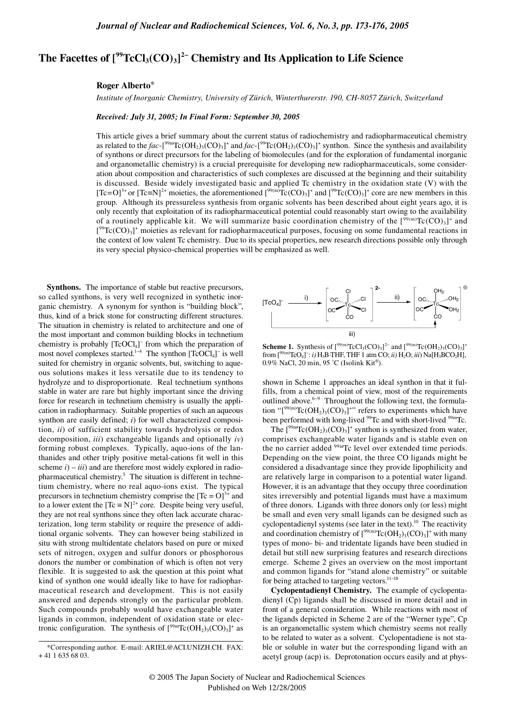## The Facettes of  $[^{99}TcCl<sub>3</sub>(CO)<sub>3</sub>]<sup>2-</sup>$  Chemistry and Its Application to Life Science

## **Roger Alberto**\*

*Institute of Inorganic Chemistry, University of Zürich, Winterthurerstr. 190, CH-8057 Zürich, Switzerland*

## *Received: July 31, 2005; In Final Form: September 30, 2005*

This article gives a brief summary about the current status of radiochemistry and radiopharmaceutical chemistry as related to the  $fac$ -[<sup>99m</sup>Tc(OH<sub>2</sub>)<sub>3</sub>(CO)<sub>3</sub>]<sup>+</sup> and  $fac$ -[<sup>99</sup>Tc(OH<sub>2</sub>)<sub>3</sub>(CO)<sub>3</sub>]<sup>+</sup> synthon. Since the synthesis and availability of synthons or direct precursors for the labeling of biomolecules (and for the exploration of fundamental inorganic and organometallic chemistry) is a crucial prerequisite for developing new radiopharmaceuticals, some consideration about composition and characteristics of such complexes are discussed at the beginning and their suitability is discussed. Beside widely investigated basic and applied Tc chemistry in the oxidation state (V) with the [Tc=O]<sup>3+</sup> or [Tc=N]<sup>2+</sup> moieties, the aforementioned  $[{}^{99(m)}Tc(CO)_3]$ <sup>+</sup> and  $[{}^{99}Tc(CO)_3]$ <sup>+</sup> core are new members in this group. Although its pressureless synthesis from organic solvents has been described about eight years ago, it is only recently that exploitation of its radiopharmaceutical potential could reasonably start owing to the availability of a routinely applicable kit. We will summarize basic coordination chemistry of the  $[<sup>99(m)</sup>Tc(CO)<sub>3</sub>]<sup>+</sup>$  and  $[1997C(CO)_3]$ <sup>+</sup> moieties as relevant for radiopharmaceutical purposes, focusing on some fundamental reactions in the context of low valent Tc chemistry. Due to its special properties, new research directions possible only through its very special physico-chemical properties will be emphasized as well.

**Synthons.** The importance of stable but reactive precursors, so called synthons, is very well recognized in synthetic inorganic chemistry. A synonym for synthon is "building block", thus, kind of a brick stone for constructing different structures. The situation in chemistry is related to architecture and one of the most important and common building blocks in technetium chemistry is probably [TcOCl<sub>4</sub>]<sup>-</sup> from which the preparation of most novel complexes started.<sup>1-4</sup> The synthon [TcOCl<sub>4</sub>]<sup>-</sup> is well suited for chemistry in organic solvents, but, switching to aqueous solutions makes it less versatile due to its tendency to hydrolyze and to disproportionate. Real technetium synthons stable in water are rare but highly important since the driving force for research in technetium chemistry is usually the application in radiopharmacy. Suitable properties of such an aqueous synthon are easily defined; *i*) for well characterized composition, *ii*) of sufficient stability towards hydrolysis or redox decomposition, *iii*) exchangeable ligands and optionally *iv*) forming robust complexes. Typically, aquo-ions of the lanthanides and other triply positive metal-cations fit well in this scheme  $i$ ) –  $iii$ ) and are therefore most widely explored in radiopharmaceutical chemistry.<sup>5</sup> The situation is different in technetium chemistry, where no real aquo-ions exist. The typical precursors in technetium chemistry comprise the  $[Te = O]^{3+}$  and to a lower extent the  $[Tc \equiv N]^{2+}$  core. Despite being very useful, they are not real synthons since they often lack accurate characterization, long term stability or require the presence of additional organic solvents. They can however being stabilized in situ with strong multidentate chelators based on pure or mixed sets of nitrogen, oxygen and sulfur donors or phosphorous donors the number or combination of which is often not very flexible. It is suggested to ask the question at this point what kind of synthon one would ideally like to have for radiopharmaceutical research and development. This is not easily answered and depends strongly on the particular problem. Such compounds probably would have exchangeable water ligands in common, independent of oxidation state or electronic configuration. The synthesis of  $[^{99m}Tc(OH<sub>2</sub>)<sub>3</sub>(CO)<sub>3</sub>]<sup>+</sup>$  as



**Scheme 1.** Synthesis of  $[^{99(m)}TCCl_3(CO)_3]^{2-}$  and  $[^{99(m)}TC(OH_2)_3(CO)_3]^{+}$ from  $[<sup>99(m)</sup> TcO<sub>4</sub>]<sup>-</sup>$ : *i*) H<sub>2</sub>B·THF, THF 1 atm CO; *ii*) H<sub>2</sub>O; *iii*) Na[H<sub>3</sub>BCO<sub>2</sub>H], 0.9% NaCl, 20 min, 95 ˚C (Isolink Kit®).

shown in Scheme 1 approaches an ideal synthon in that it fulfills, from a chemical point of view, most of the requirements outlined above.<sup>6-9</sup> Throughout the following text, the formulation " $[{}^{99(m)}\text{Tc}(\text{OH}_2)_3(\text{CO})_3]$ " refers to experiments which have been performed with long-lived <sup>99</sup>Tc and with short-lived <sup>99m</sup>Tc.

The  $[{}^{99m}\text{Tc}(\text{OH}_2)_3(\text{CO})_3]^+$  synthon is synthesized from water, comprises exchangeable water ligands and is stable even on the no carrier added <sup>99m</sup>Tc level over extended time periods. Depending on the view point, the three CO ligands might be considered a disadvantage since they provide lipophilicity and are relatively large in comparison to a potential water ligand. However, it is an advantage that they occupy three coordination sites irreversibly and potential ligands must have a maximum of three donors. Ligands with three donors only (or less) might be small and even very small ligands can be designed such as cyclopentadienyl systems (see later in the text).<sup>10</sup> The reactivity and coordination chemistry of  $[<sup>99(m)</sup>Tc(OH<sub>2</sub>)<sub>3</sub>(CO)<sub>3</sub>]<sup>+</sup>$  with many types of mono- bi- and tridentate ligands have been studied in detail but still new surprising features and research directions emerge. Scheme 2 gives an overview on the most important and common ligands for "stand alone chemistry" or suitable for being attached to targeting vectors.11−<sup>18</sup>

**Cyclopentadienyl Chemistry.** The example of cyclopentadienyl (Cp) ligands shall be discussed in more detail and in front of a general consideration. While reactions with most of the ligands depicted in Scheme 2 are of the "Werner type", Cp is an organometallic system which chemistry seems not really to be related to water as a solvent. Cyclopentadiene is not stable or soluble in water but the corresponding ligand with an acetyl group (acp) is. Deprotonation occurs easily and at phys-

<sup>\*</sup>Corresponding author. E-mail: ARIEL@ACI.UNIZH.CH. FAX: + 41 1 635 68 03.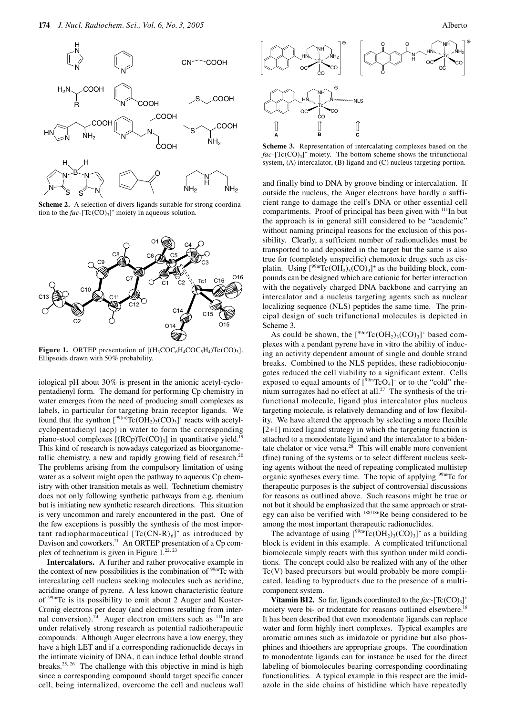

**Scheme 2.** A selection of divers ligands suitable for strong coordination to the  $fac$ -[Tc(CO)<sub>3</sub>]<sup>+</sup> moiety in aqueous solution.



**Figure 1.** ORTEP presentation of  $[(H_3COC_6H_4COC_5H_4)Tc(CO)_3]$ . Ellipsoids drawn with 50% probability.

iological pH about 30% is present in the anionic acetyl-cyclopentadienyl form. The demand for performing Cp chemistry in water emerges from the need of producing small complexes as labels, in particular for targeting brain receptor ligands. We found that the synthon  $[{}^{99(m)}Tc(OH_2)_3(CO)_3]^+$  reacts with acetylcyclopentadienyl (acp) in water to form the corresponding piano-stool complexes  $[(RCp)Tc(CO)<sub>3</sub>]$  in quantitative yield.<sup>1</sup> This kind of research is nowadays categorized as bioorganometallic chemistry, a new and rapidly growing field of research.<sup>20</sup> The problems arising from the compulsory limitation of using water as a solvent might open the pathway to aqueous Cp chemistry with other transition metals as well. Technetium chemistry does not only following synthetic pathways from e.g. rhenium but is initiating new synthetic research directions. This situation is very uncommon and rarely encountered in the past. One of the few exceptions is possibly the synthesis of the most important radiopharmaceutical  $[Te(CN-R)_6]^+$  as introduced by Davison and coworkers.<sup>21</sup> An ORTEP presentation of a Cp complex of technetium is given in Figure  $1.^{22, 23}$ 

**Intercalators.** A further and rather provocative example in the context of new possibilities is the combination of  $\frac{99 \text{ m}}{C}$  with intercalating cell nucleus seeking molecules such as acridine, acridine orange of pyrene. A less known characteristic feature of 99mTc is its possibility to emit about 2 Auger and Koster-Cronig electrons per decay (and electrons resulting from internal conversion).<sup>24</sup> Auger electron emitters such as  $111$ In are under relatively strong research as potential radiotherapeutic compounds. Although Auger electrons have a low energy, they have a high LET and if a corresponding radionuclide decays in the intimate vicinity of DNA, it can induce lethal double strand breaks.<sup>25, 26</sup> The challenge with this objective in mind is high since a corresponding compound should target specific cancer cell, being internalized, overcome the cell and nucleus wall



**Scheme 3.** Representation of intercalating complexes based on the  $fac$ - $[Te(CO)<sub>3</sub>]$ <sup>+</sup> moiety. The bottom scheme shows the trifunctional system, (A) intercalator, (B) ligand and (C) nucleus targeting portion.

and finally bind to DNA by groove binding or intercalation. If outside the nucleus, the Auger electrons have hardly a sufficient range to damage the cell's DNA or other essential cell compartments. Proof of principal has been given with <sup>111</sup>In but the approach is in general still considered to be "academic" without naming principal reasons for the exclusion of this possibility. Clearly, a sufficient number of radionuclides must be transported to and deposited in the target but the same is also true for (completely unspecific) chemotoxic drugs such as cisplatin. Using  $[{}^{99m}\text{Te}(\text{OH}_2)_3(\text{CO})_3]^+$  as the building block, compounds can be designed which are cationic for better interaction with the negatively charged DNA backbone and carrying an intercalator and a nucleus targeting agents such as nuclear localizing sequence (NLS) peptides the same time. The principal design of such trifunctional molecules is depicted in Scheme 3.

As could be shown, the  $[{}^{99m}\text{Tc}(\text{OH}_2)_3(\text{CO})_3]^+$  based complexes with a pendant pyrene have in vitro the ability of inducing an activity dependent amount of single and double strand breaks. Combined to the NLS peptides, these radiobioconjugates reduced the cell viability to a significant extent. Cells exposed to equal amounts of  $[{}^{99m}TcO_4]$ <sup>-</sup> or to the "cold" rhenium surrogates had no effect at all.<sup>27</sup> The synthesis of the trifunctional molecule, ligand plus intercalator plus nucleus targeting molecule, is relatively demanding and of low flexibility. We have altered the approach by selecting a more flexible [2+1] mixed ligand strategy in which the targeting function is attached to a monodentate ligand and the intercalator to a bidentate chelator or vice versa.<sup>28</sup> This will enable more convenient (fine) tuning of the systems or to select different nucleus seeking agents without the need of repeating complicated multistep organic syntheses every time. The topic of applying <sup>99m</sup>Tc for therapeutic purposes is the subject of controversial discussions for reasons as outlined above. Such reasons might be true or not but it should be emphasized that the same approach or strategy can also be verified with <sup>188/186</sup>Re being considered to be among the most important therapeutic radionuclides.

The advantage of using  $[{}^{99m}Tc(OH_2)_3(CO)_3]^+$  as a building block is evident in this example. A complicated trifunctional biomolecule simply reacts with this synthon under mild conditions. The concept could also be realized with any of the other  $Tc(V)$  based precursors but would probably be more complicated, leading to byproducts due to the presence of a multicomponent system.

**Vitamin B12.** So far, ligands coordinated to the  $fac$ -[Tc(CO)<sub>3</sub>]<sup>+</sup> moiety were bi- or tridentate for reasons outlined elsewhere.<sup>16</sup> It has been described that even monodentate ligands can replace water and form highly inert complexes. Typical examples are aromatic amines such as imidazole or pyridine but also phosphines and thioethers are appropriate groups. The coordination to monodentate ligands can for instance be used for the direct labeling of biomolecules bearing corresponding coordinating functionalities. A typical example in this respect are the imidazole in the side chains of histidine which have repeatedly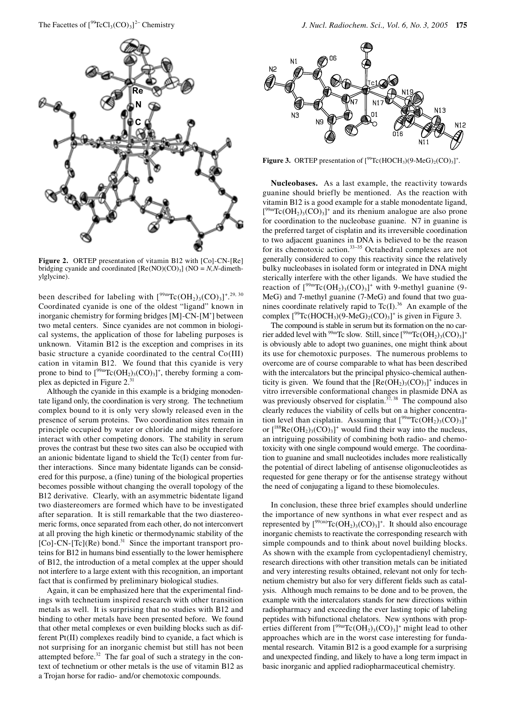

**Figure 2.** ORTEP presentation of vitamin B12 with [Co]-CN-[Re] bridging cyanide and coordinated  $[Re(NO)(CO)_3]$  (NO = *N,N*-dimethylglycine).

been described for labeling with  $[{}^{99 \text{m}}\text{Tc}(\text{OH}_2)_3(\text{CO})_3]^{+.29, 30}$ Coordinated cyanide is one of the oldest "ligand" known in inorganic chemistry for forming bridges [M]-CN-[M'] between two metal centers. Since cyanides are not common in biological systems, the application of those for labeling purposes is unknown. Vitamin B12 is the exception and comprises in its basic structure a cyanide coordinated to the central Co(III) cation in vitamin B12. We found that this cyanide is very prone to bind to  $[^{99m}Tc(OH_2)_3(CO)_3]^+$ , thereby forming a complex as depicted in Figure  $2<sup>3</sup>$ 

Although the cyanide in this example is a bridging monodentate ligand only, the coordination is very strong. The technetium complex bound to it is only very slowly released even in the presence of serum proteins. Two coordination sites remain in principle occupied by water or chloride and might therefore interact with other competing donors. The stability in serum proves the contrast but these two sites can also be occupied with an anionic bidentate ligand to shield the Tc(I) center from further interactions. Since many bidentate ligands can be considered for this purpose, a (fine) tuning of the biological properties becomes possible without changing the overall topology of the B12 derivative. Clearly, with an asymmetric bidentate ligand two diastereomers are formed which have to be investigated after separation. It is still remarkable that the two diastereomeric forms, once separated from each other, do not interconvert at all proving the high kinetic or thermodynamic stability of the [Co]-CN-[Tc](Re) bond.<sup>31</sup> Since the important transport proteins for B12 in humans bind essentially to the lower hemisphere of B12, the introduction of a metal complex at the upper should not interfere to a large extent with this recognition, an important fact that is confirmed by preliminary biological studies.

Again, it can be emphasized here that the experimental findings with technetium inspired research with other transition metals as well. It is surprising that no studies with B12 and binding to other metals have been presented before. We found that other metal complexes or even building blocks such as different Pt(II) complexes readily bind to cyanide, a fact which is not surprising for an inorganic chemist but still has not been attempted before.32 The far goal of such a strategy in the context of technetium or other metals is the use of vitamin B12 as a Trojan horse for radio- and/or chemotoxic compounds.



**Figure 3.** ORTEP presentation of  $[^{99}$ Tc(HOCH<sub>3</sub>)(9-MeG)<sub>2</sub>(CO)<sub>3</sub>]<sup>+</sup>.

**Nucleobases.** As a last example, the reactivity towards guanine should briefly be mentioned. As the reaction with vitamin B12 is a good example for a stable monodentate ligand,  $[{}^{99m}\text{Tc}(\text{OH}_2)_3(\text{CO})_3]^+$  and its rhenium analogue are also prone for coordination to the nucleobase guanine. N7 in guanine is the preferred target of cisplatin and its irreversible coordination to two adjacent guanines in DNA is believed to be the reason for its chemotoxic action.33−35 Octahedral complexes are not generally considered to copy this reactivity since the relatively bulky nucleobases in isolated form or integrated in DNA might sterically interfere with the other ligands. We have studied the reaction of  $[^{99m}\text{TC}(\text{OH}_2)_3(\text{CO})_3]^+$  with 9-methyl guanine (9-MeG) and 7-methyl guanine (7-MeG) and found that two guanines coordinate relatively rapid to  $Tc(I).<sup>36</sup>$  An example of the complex  $[{}^{99}$ Tc(HOCH<sub>3</sub>)(9-MeG)<sub>2</sub>(CO)<sub>3</sub>]<sup>+</sup> is given in Figure 3.

The compound is stable in serum but its formation on the no carrier added level with <sup>99m</sup>Tc slow. Still, since  $[{}^{99m}Tc(OH_2)_3(CO)_3]^+$ is obviously able to adopt two guanines, one might think about its use for chemotoxic purposes. The numerous problems to overcome are of course comparable to what has been described with the intercalators but the principal physico-chemical authenticity is given. We found that the  $[Re(OH<sub>2</sub>)<sub>3</sub>(CO)<sub>3</sub>]<sup>+</sup>$  induces in vitro irreversible conformational changes in plasmide DNA as was previously observed for cisplatin.<sup>37, 38</sup> The compound also clearly reduces the viability of cells but on a higher concentration level than cisplatin. Assuming that  $[^{99m}Tc(OH<sub>2</sub>)<sub>3</sub>(CO)<sub>3</sub>]$ <sup>+</sup> or  $[^{188}$ Re(OH<sub>2</sub>)<sub>3</sub>(CO)<sub>3</sub>]<sup>+</sup> would find their way into the nucleus, an intriguing possibility of combining both radio- and chemotoxicity with one single compound would emerge. The coordination to guanine and small nucleotides includes more realistically the potential of direct labeling of antisense oligonucleotides as requested for gene therapy or for the antisense strategy without the need of conjugating a ligand to these biomolecules.

In conclusion, these three brief examples should underline the importance of new synthons in what ever respect and as represented by  $[{}^{99(m)}\text{Te}(\text{OH}_2)_3(\text{CO})_3]^+$ . It should also encourage inorganic chemists to reactivate the corresponding research with simple compounds and to think about novel building blocks. As shown with the example from cyclopentadienyl chemistry, research directions with other transition metals can be initiated and very interesting results obtained, relevant not only for technetium chemistry but also for very different fields such as catalysis. Although much remains to be done and to be proven, the example with the intercalators stands for new directions within radiopharmacy and exceeding the ever lasting topic of labeling peptides with bifunctional chelators. New synthons with properties different from  $[{}^{99m}Tc(OH_2)_3(CO)_3]^+$  might lead to other approaches which are in the worst case interesting for fundamental research. Vitamin B12 is a good example for a surprising and unexpected finding, and likely to have a long term impact in basic inorganic and applied radiopharmaceutical chemistry.